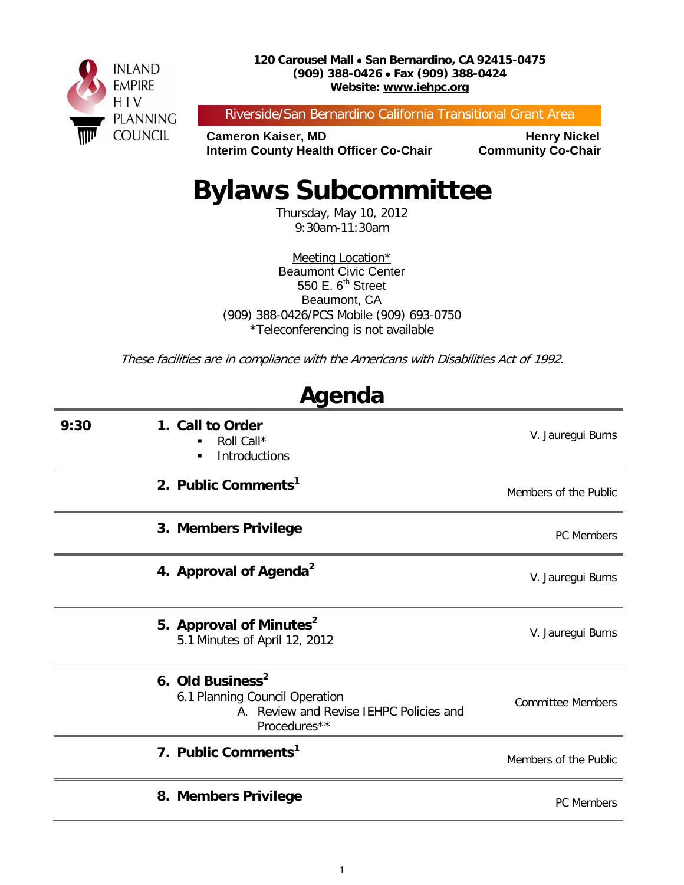

Riverside/San Bernardino California Transitional Grant Area

**Cameron Kaiser, MD<br>Interim County Health Officer Co-Chair Community Co-Chair Interim County Health Officer Co-Chair** 

# **Bylaws Subcommittee**

Thursday, May 10, 2012 9:30am-11:30am

Meeting Location\* Beaumont Civic Center 550 E.  $6<sup>th</sup>$  Street Beaumont, CA (909) 388-0426/PCS Mobile (909) 693-0750 \*Teleconferencing is not available

These facilities are in compliance with the Americans with Disabilities Act of 1992.

| Ayulua |                                                                                                                           |                          |  |  |
|--------|---------------------------------------------------------------------------------------------------------------------------|--------------------------|--|--|
| 9:30   | 1. Call to Order<br>Roll Call*<br>Introductions<br>٠                                                                      | V. Jauregui Burns        |  |  |
|        | 2. Public Comments <sup>1</sup>                                                                                           | Members of the Public    |  |  |
|        | 3. Members Privilege                                                                                                      | PC Members               |  |  |
|        | 4. Approval of Agenda <sup>2</sup>                                                                                        | V. Jauregui Burns        |  |  |
|        | 5. Approval of Minutes <sup>2</sup><br>5.1 Minutes of April 12, 2012                                                      | V. Jauregui Burns        |  |  |
|        | 6. Old Business <sup>2</sup><br>6.1 Planning Council Operation<br>A. Review and Revise IEHPC Policies and<br>Procedures** | <b>Committee Members</b> |  |  |
|        | 7. Public Comments <sup>1</sup>                                                                                           | Members of the Public    |  |  |
|        | 8. Members Privilege                                                                                                      | PC Members               |  |  |

## **Agenda**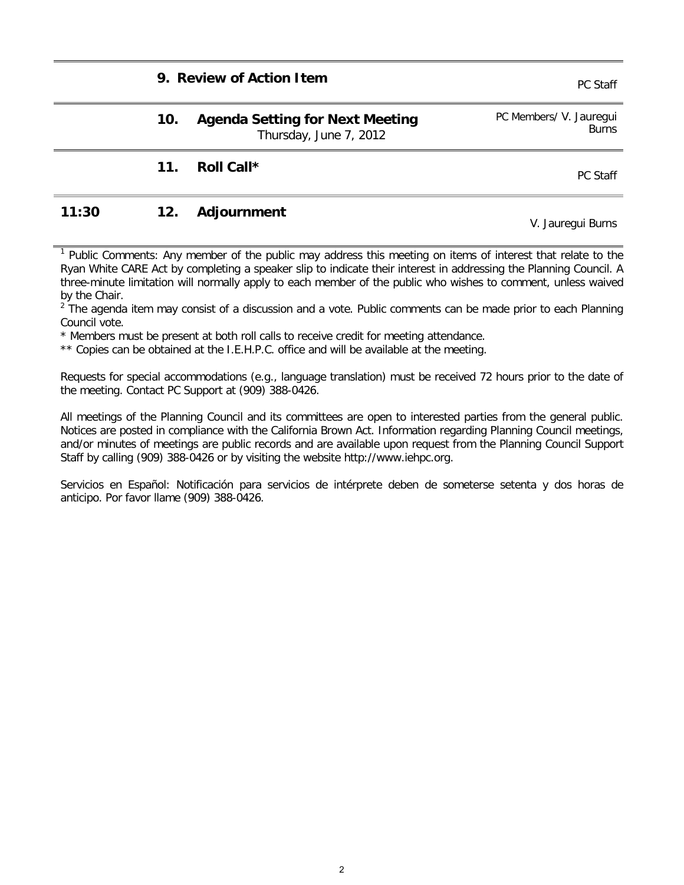#### **9. Review of Action Item PC Staff**

| 10. | <b>Agenda Setting for Next Meeting</b> | PC Members/ V. Jauregui |
|-----|----------------------------------------|-------------------------|
|     | Thursday, June 7, 2012                 | Burns                   |

#### **11. Roll Call \*** PC Staff

### **11:30 12. Adjournment** V. Jauregui Burns

 $1$  Public Comments: Any member of the public may address this meeting on items of interest that relate to the Ryan White CARE Act by completing a speaker slip to indicate their interest in addressing the Planning Council. A three-minute limitation will normally apply to each member of the public who wishes to comment, unless waived by the Chair.

<sup>2</sup> The agenda item may consist of a discussion and a vote. Public comments can be made prior to each Planning Council vote.

\* Members must be present at both roll calls to receive credit for meeting attendance.

\*\* Copies can be obtained at the I.E.H.P.C. office and will be available at the meeting.

Requests for special accommodations (e.g., language translation) must be received 72 hours prior to the date of the meeting. Contact PC Support at (909) 388-0426.

All meetings of the Planning Council and its committees are open to interested parties from the general public. Notices are posted in compliance with the California Brown Act. Information regarding Planning Council meetings, and/or minutes of meetings are public records and are available upon request from the Planning Council Support Staff by calling (909) 388-0426 or by visiting the website http://www.iehpc.org.

Servicios en Español: Notificación para servicios de intérprete deben de someterse setenta y dos horas de anticipo. Por favor llame (909) 388-0426.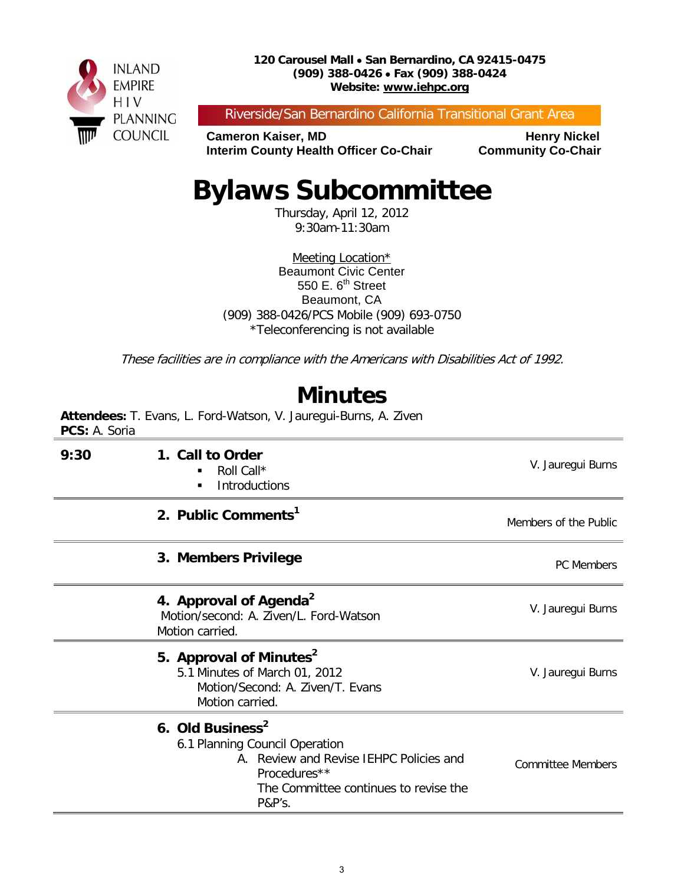

Riverside/San Bernardino California Transitional Grant Area

**Cameron Kaiser, MD<br>Interim County Health Officer Co-Chair Community Co-Chair Interim County Health Officer Co-Chair** 

# **Bylaws Subcommittee**

Thursday, April 12, 2012 9:30am-11:30am

Meeting Location\* Beaumont Civic Center 550 E.  $6<sup>th</sup>$  Street Beaumont, CA (909) 388-0426/PCS Mobile (909) 693-0750 \*Teleconferencing is not available

These facilities are in compliance with the Americans with Disabilities Act of 1992.

## **Minutes**

**Attendees:** T. Evans, L. Ford-Watson, V. Jauregui-Burns, A. Ziven **PCS:** A. Soria

| 9:30 | 1. Call to Order<br>Roll Call*<br>٠<br>Introductions<br>٠                                                                                                                               | V. Jauregui Burns        |
|------|-----------------------------------------------------------------------------------------------------------------------------------------------------------------------------------------|--------------------------|
|      | 2. Public Comments <sup>1</sup>                                                                                                                                                         | Members of the Public    |
|      | 3. Members Privilege                                                                                                                                                                    | <b>PC Members</b>        |
|      | 4. Approval of Agenda <sup>2</sup><br>Motion/second: A. Ziven/L. Ford-Watson<br>Motion carried.                                                                                         | V. Jauregui Burns        |
|      | 5. Approval of Minutes <sup>2</sup><br>5.1 Minutes of March 01, 2012<br>Motion/Second: A. Ziven/T. Evans<br>Motion carried.                                                             | V. Jauregui Burns        |
|      | 6. Old Business <sup>2</sup><br>6.1 Planning Council Operation<br>A. Review and Revise IEHPC Policies and<br>Procedures**<br>The Committee continues to revise the<br><b>P&amp;P's.</b> | <b>Committee Members</b> |